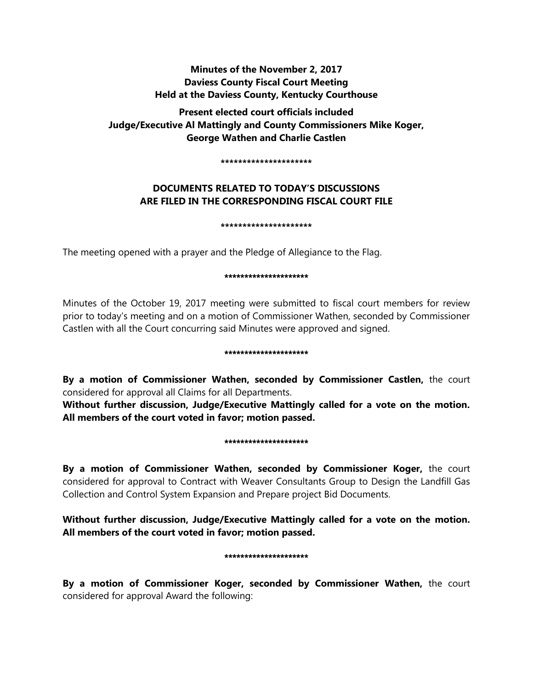## **Minutes of the November 2, 2017 Daviess County Fiscal Court Meeting Held at the Daviess County, Kentucky Courthouse**

**Present elected court officials included Judge/Executive Al Mattingly and County Commissioners Mike Koger, George Wathen and Charlie Castlen** 

**\*\*\*\*\*\*\*\*\*\*\*\*\*\*\*\*\*\*\*\*\***

# **DOCUMENTS RELATED TO TODAY'S DISCUSSIONS ARE FILED IN THE CORRESPONDING FISCAL COURT FILE**

**\*\*\*\*\*\*\*\*\*\*\*\*\*\*\*\*\*\*\*\*\***

The meeting opened with a prayer and the Pledge of Allegiance to the Flag.

### \*\*\*\*\*\*\*\*\*\*\*\*\*\*\*\*\*\*\*\*\*

Minutes of the October 19, 2017 meeting were submitted to fiscal court members for review prior to today's meeting and on a motion of Commissioner Wathen, seconded by Commissioner Castlen with all the Court concurring said Minutes were approved and signed.

### \*\*\*\*\*\*\*\*\*\*\*\*\*\*\*\*\*\*\*\*\*

**By a motion of Commissioner Wathen, seconded by Commissioner Castlen,** the court considered for approval all Claims for all Departments.

**Without further discussion, Judge/Executive Mattingly called for a vote on the motion. All members of the court voted in favor; motion passed.** 

### \*\*\*\*\*\*\*\*\*\*\*\*\*\*\*\*\*\*\*\*\*

**By a motion of Commissioner Wathen, seconded by Commissioner Koger,** the court considered for approval to Contract with Weaver Consultants Group to Design the Landfill Gas Collection and Control System Expansion and Prepare project Bid Documents.

**Without further discussion, Judge/Executive Mattingly called for a vote on the motion. All members of the court voted in favor; motion passed.** 

### \*\*\*\*\*\*\*\*\*\*\*\*\*\*\*\*\*\*\*\*

**By a motion of Commissioner Koger, seconded by Commissioner Wathen,** the court considered for approval Award the following: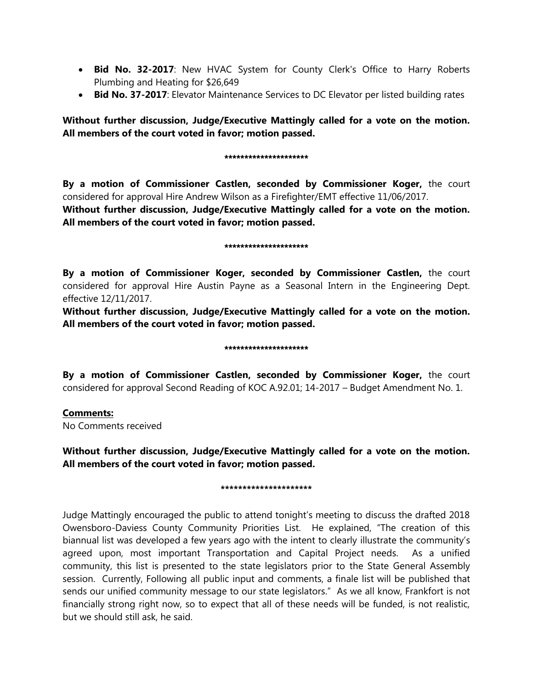- **Bid No. 32-2017**: New HVAC System for County Clerk's Office to Harry Roberts Plumbing and Heating for \$26,649
- **Bid No. 37-2017**: Elevator Maintenance Services to DC Elevator per listed building rates

**Without further discussion, Judge/Executive Mattingly called for a vote on the motion. All members of the court voted in favor; motion passed.** 

#### \*\*\*\*\*\*\*\*\*\*\*\*\*\*\*\*\*\*\*\*\*

**By a motion of Commissioner Castlen, seconded by Commissioner Koger,** the court considered for approval Hire Andrew Wilson as a Firefighter/EMT effective 11/06/2017.

**Without further discussion, Judge/Executive Mattingly called for a vote on the motion. All members of the court voted in favor; motion passed.** 

#### \*\*\*\*\*\*\*\*\*\*\*\*\*\*\*\*\*\*\*

**By a motion of Commissioner Koger, seconded by Commissioner Castlen,** the court considered for approval Hire Austin Payne as a Seasonal Intern in the Engineering Dept. effective 12/11/2017.

**Without further discussion, Judge/Executive Mattingly called for a vote on the motion. All members of the court voted in favor; motion passed.** 

#### \*\*\*\*\*\*\*\*\*\*\*\*\*\*\*\*\*\*\*\*\*

**By a motion of Commissioner Castlen, seconded by Commissioner Koger,** the court considered for approval Second Reading of KOC A.92.01; 14-2017 – Budget Amendment No. 1.

### **Comments:**

No Comments received

### **Without further discussion, Judge/Executive Mattingly called for a vote on the motion. All members of the court voted in favor; motion passed.**

### **\*\*\*\*\*\*\*\*\*\*\*\*\*\*\*\*\*\*\*\*\***

Judge Mattingly encouraged the public to attend tonight's meeting to discuss the drafted 2018 Owensboro-Daviess County Community Priorities List. He explained, "The creation of this biannual list was developed a few years ago with the intent to clearly illustrate the community's agreed upon, most important Transportation and Capital Project needs. As a unified community, this list is presented to the state legislators prior to the State General Assembly session. Currently, Following all public input and comments, a finale list will be published that sends our unified community message to our state legislators." As we all know, Frankfort is not financially strong right now, so to expect that all of these needs will be funded, is not realistic, but we should still ask, he said.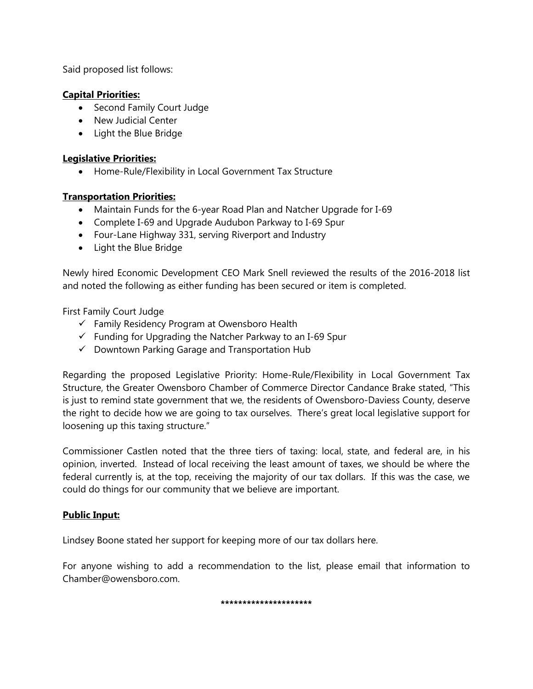Said proposed list follows:

## **Capital Priorities:**

- Second Family Court Judge
- New Judicial Center
- Light the Blue Bridge

### **Legislative Priorities:**

Home-Rule/Flexibility in Local Government Tax Structure

### **Transportation Priorities:**

- Maintain Funds for the 6-year Road Plan and Natcher Upgrade for I-69
- Complete I-69 and Upgrade Audubon Parkway to I-69 Spur
- Four-Lane Highway 331, serving Riverport and Industry
- Light the Blue Bridge

Newly hired Economic Development CEO Mark Snell reviewed the results of the 2016-2018 list and noted the following as either funding has been secured or item is completed.

First Family Court Judge

- $\checkmark$  Family Residency Program at Owensboro Health
- $\checkmark$  Funding for Upgrading the Natcher Parkway to an I-69 Spur
- $\checkmark$  Downtown Parking Garage and Transportation Hub

Regarding the proposed Legislative Priority: Home-Rule/Flexibility in Local Government Tax Structure, the Greater Owensboro Chamber of Commerce Director Candance Brake stated, "This is just to remind state government that we, the residents of Owensboro-Daviess County, deserve the right to decide how we are going to tax ourselves. There's great local legislative support for loosening up this taxing structure."

Commissioner Castlen noted that the three tiers of taxing: local, state, and federal are, in his opinion, inverted. Instead of local receiving the least amount of taxes, we should be where the federal currently is, at the top, receiving the majority of our tax dollars. If this was the case, we could do things for our community that we believe are important.

# **Public Input:**

Lindsey Boone stated her support for keeping more of our tax dollars here.

For anyone wishing to add a recommendation to the list, please email that information to Chamber@owensboro.com.

**\*\*\*\*\*\*\*\*\*\*\*\*\*\*\*\*\*\*\*\*\***